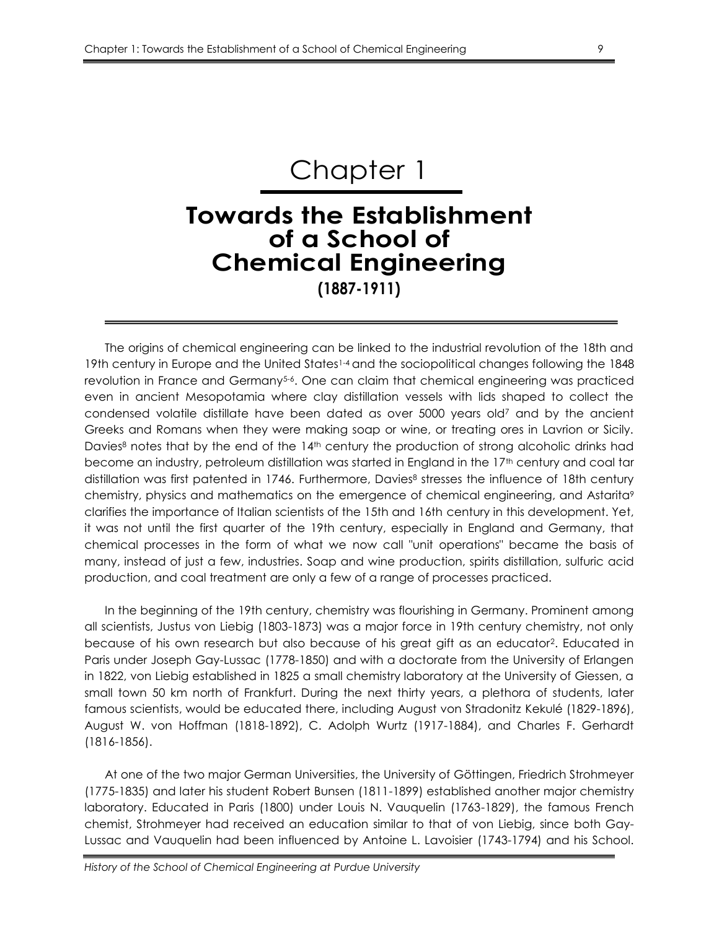# Chapter 1

# **Towards the Establishment of a School of Chemical Engineering (1887-1911)**

The origins of chemical engineering can be linked to the industrial revolution of the 18th and 19th century in Europe and the United States1-4 and the sociopolitical changes following the 1848 revolution in France and Germany<sup>5-6</sup>. One can claim that chemical engineering was practiced even in ancient Mesopotamia where clay distillation vessels with lids shaped to collect the condensed volatile distillate have been dated as over 5000 years old<sup>7</sup> and by the ancient Greeks and Romans when they were making soap or wine, or treating ores in Lavrion or Sicily. Davies<sup>8</sup> notes that by the end of the 14<sup>th</sup> century the production of strong alcoholic drinks had become an industry, petroleum distillation was started in England in the 17<sup>th</sup> century and coal tar distillation was first patented in 1746. Furthermore, Davies<sup>8</sup> stresses the influence of 18th century chemistry, physics and mathematics on the emergence of chemical engineering, and Astarita<sup>9</sup> clarifies the importance of Italian scientists of the 15th and 16th century in this development. Yet, it was not until the first quarter of the 19th century, especially in England and Germany, that chemical processes in the form of what we now call "unit operations" became the basis of many, instead of just a few, industries. Soap and wine production, spirits distillation, sulfuric acid production, and coal treatment are only a few of a range of processes practiced.

In the beginning of the 19th century, chemistry was flourishing in Germany. Prominent among all scientists, Justus von Liebig (1803-1873) was a major force in 19th century chemistry, not only because of his own research but also because of his great gift as an educator<sup>2</sup>. Educated in Paris under Joseph Gay-Lussac (1778-1850) and with a doctorate from the University of Erlangen in 1822, von Liebig established in 1825 a small chemistry laboratory at the University of Giessen, a small town 50 km north of Frankfurt. During the next thirty years, a plethora of students, later famous scientists, would be educated there, including August von Stradonitz Kekulé (1829-1896), August W. von Hoffman (1818-1892), C. Adolph Wurtz (1917-1884), and Charles F. Gerhardt (1816-1856).

At one of the two major German Universities, the University of Göttingen, Friedrich Strohmeyer (1775-1835) and later his student Robert Bunsen (1811-1899) established another major chemistry laboratory. Educated in Paris (1800) under Louis N. Vauquelin (1763-1829), the famous French chemist, Strohmeyer had received an education similar to that of von Liebig, since both Gay-Lussac and Vauquelin had been influenced by Antoine L. Lavoisier (1743-1794) and his School.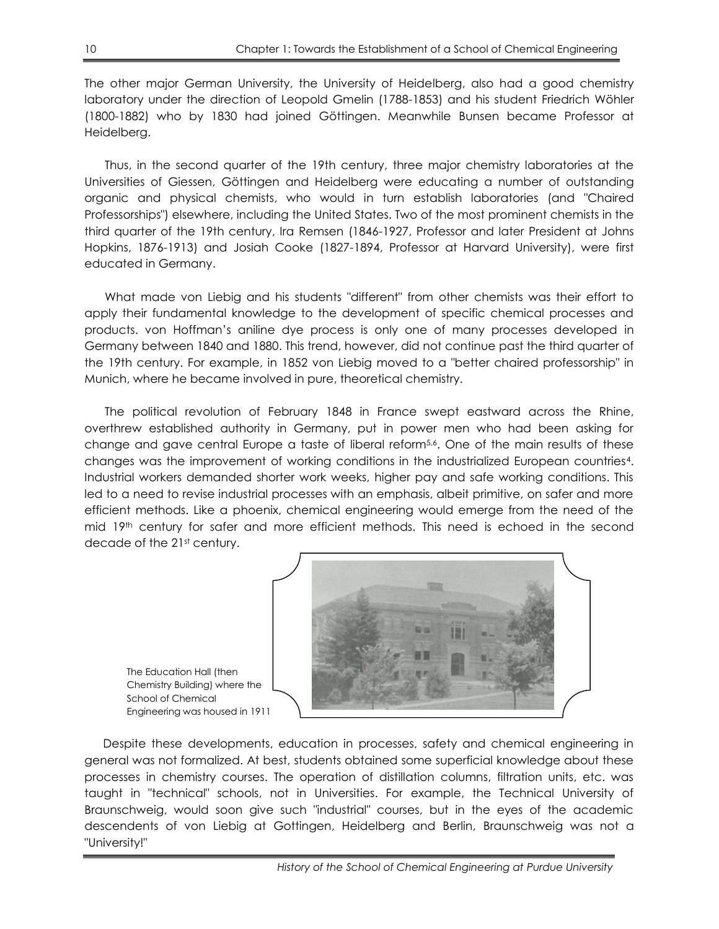The other major German University, the University of Heidelberg, also had a good chemistry laboratory under the direction of Leopold Gmelin (1788-1853) and his student Friedrich Wöhler (1800-1882) who by 1830 had joined Göttingen. Meanwhile Bunsen became Professor at Heidelberg.

Thus, in the second quarter of the 19th century, three major chemistry laboratories at the Universities of Giessen, Göttingen and Heidelberg were educating a number of outstanding organic and physical chemists, who would in turn establish laboratories (and "Chaired Professorships") elsewhere, including the United States. Two of the most prominent chemists in the third quarter of the 19th century, Ira Remsen (1846-1927, Professor and later President at Johns Hopkins, 1876-1913) and Josiah Cooke (1827-1894, Professor at Harvard University), were first educated in Germany.

What made von Liebig and his students "different" from other chemists was their effort to apply their fundamental knowledge to the development of specific chemical processes and products. von Hoffman's aniline dye process is only one of many processes developed in Germany between 1840 and 1880. This trend, however, did not continue past the third quarter of the 19th century. For example, in 1852 von Liebig moved to a "better chaired professorship" in Munich, where he became involved in pure, theoretical chemistry.

The political revolution of February 1848 in France swept eastward across the Rhine, overthrew established authority in Germany, put in power men who had been asking for change and gave central Europe a taste of liberal reform<sup>5,6</sup>. One of the main results of these changes was the improvement of working conditions in the industrialized European countries4. Industrial workers demanded shorter work weeks, higher pay and safe working conditions. This led to a need to revise industrial processes with an emphasis, albeit primitive, on safer and more efficient methods. Like a phoenix, chemical engineering would emerge from the need of the mid 19th century for safer and more efficient methods. This need is echoed in the second decade of the 21st century.



The Education Hall (then Chemistry Building) where the School of Chemical Engineering was housed in 1911

Despite these developments, education in processes, safety and chemical engineering in general was not formalized. At best, students obtained some superficial knowledge about these processes in chemistry courses. The operation of distillation columns, filtration units, etc. was taught in "technical" schools, not in Universities. For example, the Technical University of Braunschweig, would soon give such "industrial" courses, but in the eyes of the academic descendents of von Liebig at Gottingen, Heidelberg and Berlin, Braunschweig was not a "University!"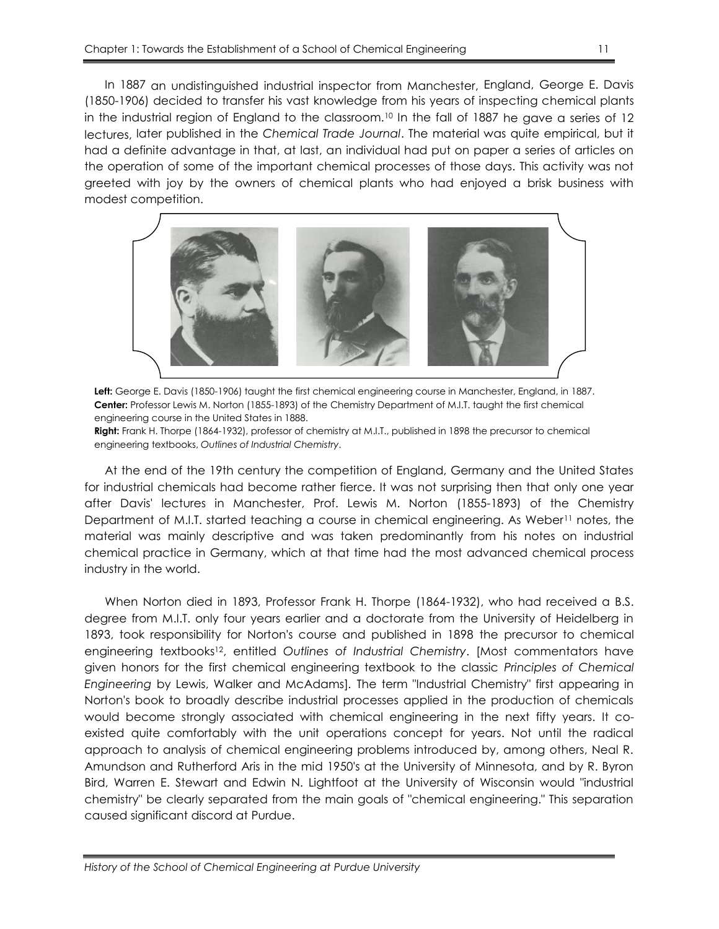In 1887 an undistinguished industrial inspector from Manchester, England, George E. Davis (1850-1906) decided to transfer his vast knowledge from his years of inspecting chemical plants in the industrial region of England to the classroom.<sup>10</sup> In the fall of 1887 he gave a series of 12 lectures, later published in the *Chemical Trade Journal*. The material was quite empirical, but it had a definite advantage in that, at last, an individual had put on paper a series of articles on the operation of some of the important chemical processes of those days. This activity was not greeted with joy by the owners of chemical plants who had enjoyed a brisk business with modest competition.



**Left:** George E. Davis (1850-1906) taught the first chemical engineering course in Manchester, England, in 1887. **Center:** Professor Lewis M. Norton (1855-1893) of the Chemistry Department of M.I.T. taught the first chemical engineering course in the United States in 1888.

**Right:** Frank H. Thorpe (1864-1932), professor of chemistry at M.I.T., published in 1898 the precursor to chemical engineering textbooks, *Outlines of Industrial Chemistry*.

At the end of the 19th century the competition of England, Germany and the United States for industrial chemicals had become rather fierce. It was not surprising then that only one year after Davis' lectures in Manchester, Prof. Lewis M. Norton (1855-1893) of the Chemistry Department of M.I.T. started teaching a course in chemical engineering. As Weber<sup>11</sup> notes, the material was mainly descriptive and was taken predominantly from his notes on industrial chemical practice in Germany, which at that time had the most advanced chemical process industry in the world.

When Norton died in 1893, Professor Frank H. Thorpe (1864-1932), who had received a B.S. degree from M.I.T. only four years earlier and a doctorate from the University of Heidelberg in 1893, took responsibility for Norton's course and published in 1898 the precursor to chemical engineering textbooks <sup>12</sup>, entitled *Outlines of Industrial Chemistry*. [Most commentators have given honors for the first chemical engineering textbook to the classic *Principles of Chemical Engineering* by Lewis, Walker and McAdams]*.* The term "Industrial Chemistry" first appearing in Norton's book to broadly describe industrial processes applied in the production of chemicals would become strongly associated with chemical engineering in the next fifty years. It coexisted quite comfortably with the unit operations concept for years. Not until the radical approach to analysis of chemical engineering problems introduced by, among others, Neal R. Amundson and Rutherford Aris in the mid 1950's at the University of Minnesota, and by R. Byron Bird, Warren E. Stewart and Edwin N. Lightfoot at the University of Wisconsin would "industrial chemistry" be clearly separated from the main goals of "chemical engineering." This separation caused significant discord at Purdue.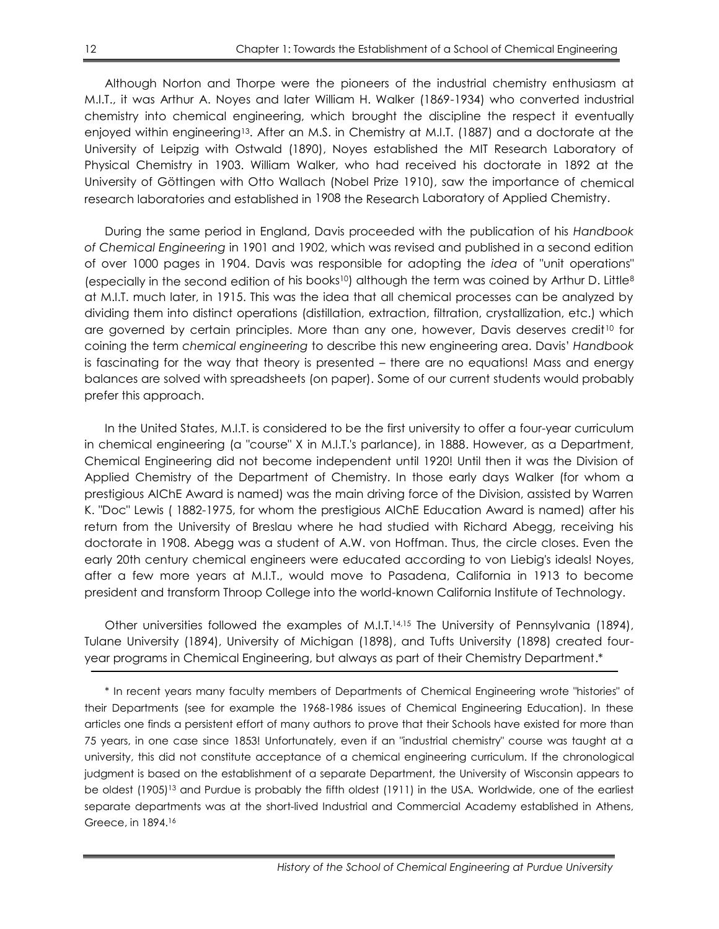Although Norton and Thorpe were the pioneers of the industrial chemistry enthusiasm at M.I.T., it was Arthur A. Noyes and later William H. Walker (1869-1934) who converted industrial chemistry into chemical engineering, which brought the discipline the respect it eventually enjoyed within engineering13. After an M.S. in Chemistry at M.I.T. (1887) and a doctorate at the University of Leipzig with Ostwald (1890), Noyes established the MIT Research Laboratory of Physical Chemistry in 1903. William Walker, who had received his doctorate in 1892 at the University of Göttingen with Otto Wallach (Nobel Prize 1910), saw the importance of chemical research laboratories and established in 1908 the Research Laboratory of Applied Chemistry.

During the same period in England, Davis proceeded with the publication of his *Handbook of Chemical Engineering* in 1901 and 1902, which was revised and published in a second edition of over 1000 pages in 1904. Davis was responsible for adopting the *idea* of "unit operations" (especially in the second edition of his books<sup>10</sup>) although the term was coined by Arthur D. Little<sup>8</sup> at M.I.T. much later, in 1915. This was the idea that all chemical processes can be analyzed by dividing them into distinct operations (distillation, extraction, filtration, crystallization, etc.) which are governed by certain principles. More than any one, however, Davis deserves credit<sup>10</sup> for coining the term *chemical engineering* to describe this new engineering area. Davis' *Handbook* is fascinating for the way that theory is presented – there are no equations! Mass and energy balances are solved with spreadsheets (on paper). Some of our current students would probably prefer this approach.

In the United States, M.I.T. is considered to be the first university to offer a four-year curriculum in chemical engineering (a "course" X in M.I.T.'s parlance), in 1888. However, as a Department, Chemical Engineering did not become independent until 1920! Until then it was the Division of Applied Chemistry of the Department of Chemistry. In those early days Walker (for whom a prestigious AIChE Award is named) was the main driving force of the Division, assisted by Warren K. "Doc" Lewis ( 1882-1975, for whom the prestigious AIChE Education Award is named) after his return from the University of Breslau where he had studied with Richard Abegg, receiving his doctorate in 1908. Abegg was a student of A.W. von Hoffman. Thus, the circle closes. Even the early 20th century chemical engineers were educated according to von Liebig's ideals! Noyes, after a few more years at M.I.T., would move to Pasadena, California in 1913 to become president and transform Throop College into the world-known California Institute of Technology.

Other universities followed the examples of M.I.T.14,15 The University of Pennsylvania (1894), Tulane University (1894), University of Michigan (1898), and Tufts University (1898) created fouryear programs in Chemical Engineering, but always as part of their Chemistry Department.\*

\* In recent years many faculty members of Departments of Chemical Engineering wrote "histories" of their Departments (see for example the 1968-1986 issues of Chemical Engineering Education). In these articles one finds a persistent effort of many authors to prove that their Schools have existed for more than 75 years, in one case since 1853! Unfortunately, even if an "industrial chemistry" course was taught at a university, this did not constitute acceptance of a chemical engineering curriculum. If the chronological judgment is based on the establishment of a separate Department, the University of Wisconsin appears to be oldest (1905)<sup>13</sup> and Purdue is probably the fifth oldest (1911) in the USA. Worldwide, one of the earliest separate departments was at the short-lived Industrial and Commercial Academy established in Athens, Greece, in 1894.16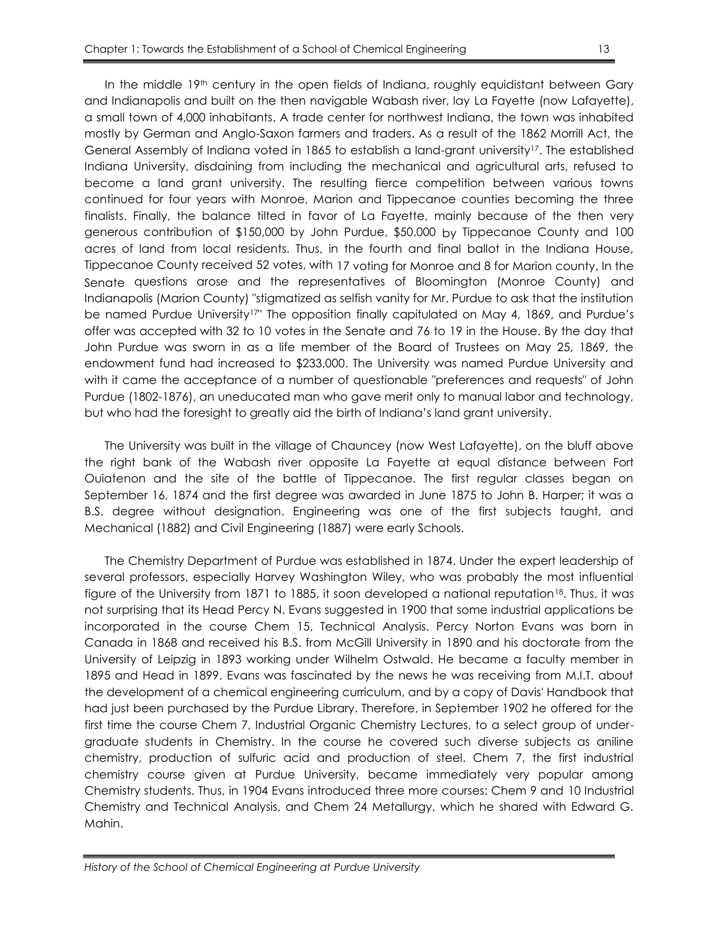In the middle 19<sup>th</sup> century in the open fields of Indiana, roughly equidistant between Gary and Indianapolis and built on the then navigable Wabash river, lay La Fayette (now Lafayette), a small town of 4,000 inhabitants. A trade center for northwest Indiana, the town was inhabited mostly by German and Anglo-Saxon farmers and traders. As a result of the 1862 Morrill Act, the General Assembly of Indiana voted in 1865 to establish a land-grant university<sup>17</sup>. The established Indiana University, disdaining from including the mechanical and agricultural arts, refused to become a land grant university. The resulting fierce competition between various towns continued for four years with Monroe, Marion and Tippecanoe counties becoming the three finalists. Finally, the balance tilted in favor of La Fayette, mainly because of the then very generous contribution of \$150,000 by John Purdue, \$50,000 by Tippecanoe County and 100 acres of land from local residents. Thus, in the fourth and final ballot in the Indiana House, Tippecanoe County received 52 votes, with 17 voting for Monroe and 8 for Marion county. In the Senate questions arose and the representatives of Bloomington (Monroe County) and Indianapolis (Marion County) "stigmatized as selfish vanity for Mr. Purdue to ask that the institution be named Purdue University<sup>17"</sup> The opposition finally capitulated on May 4, 1869, and Purdue's offer was accepted with 32 to 10 votes in the Senate and 76 to 19 in the House. By the day that John Purdue was sworn in as a life member of the Board of Trustees on May 25, 1869, the endowment fund had increased to \$233,000. The University was named Purdue University and with it came the acceptance of a number of questionable "preferences and requests" of John Purdue (1802-1876), an uneducated man who gave merit only to manual labor and technology, but who had the foresight to greatly aid the birth of Indiana's land grant university.

The University was built in the village of Chauncey (now West Lafayette), on the bluff above the right bank of the Wabash river opposite La Fayette at equal distance between Fort Ouiatenon and the site of the battle of Tippecanoe. The first regular classes began on September 16, 1874 and the first degree was awarded in June 1875 to John B. Harper; it was a B.S. degree without designation. Engineering was one of the first subjects taught, and Mechanical (1882) and Civil Engineering (1887) were early Schools.

The Chemistry Department of Purdue was established in 1874. Under the expert leadership of several professors, especially Harvey Washington Wiley, who was probably the most influential figure of the University from 1871 to 1885, it soon developed a national reputation<sup>18</sup>. Thus, it was not surprising that its Head Percy N. Evans suggested in 1900 that some industrial applications be incorporated in the course Chem 15, Technical Analysis. Percy Norton Evans was born in Canada in 1868 and received his B.S. from McGill University in 1890 and his doctorate from the University of Leipzig in 1893 working under Wilhelm Ostwald. He became a faculty member in 1895 and Head in 1899. Evans was fascinated by the news he was receiving from M.I.T. about the development of a chemical engineering curriculum, and by a copy of Davis' Handbook that had just been purchased by the Purdue Library. Therefore, in September 1902 he offered for the first time the course Chem 7, Industrial Organic Chemistry Lectures, to a select group of undergraduate students in Chemistry. In the course he covered such diverse subjects as aniline chemistry, production of sulfuric acid and production of steel. Chem 7, the first industrial chemistry course given at Purdue University, became immediately very popular among Chemistry students. Thus, in 1904 Evans introduced three more courses: Chem 9 and 10 Industrial Chemistry and Technical Analysis, and Chem 24 Metallurgy, which he shared with Edward G. Mahin.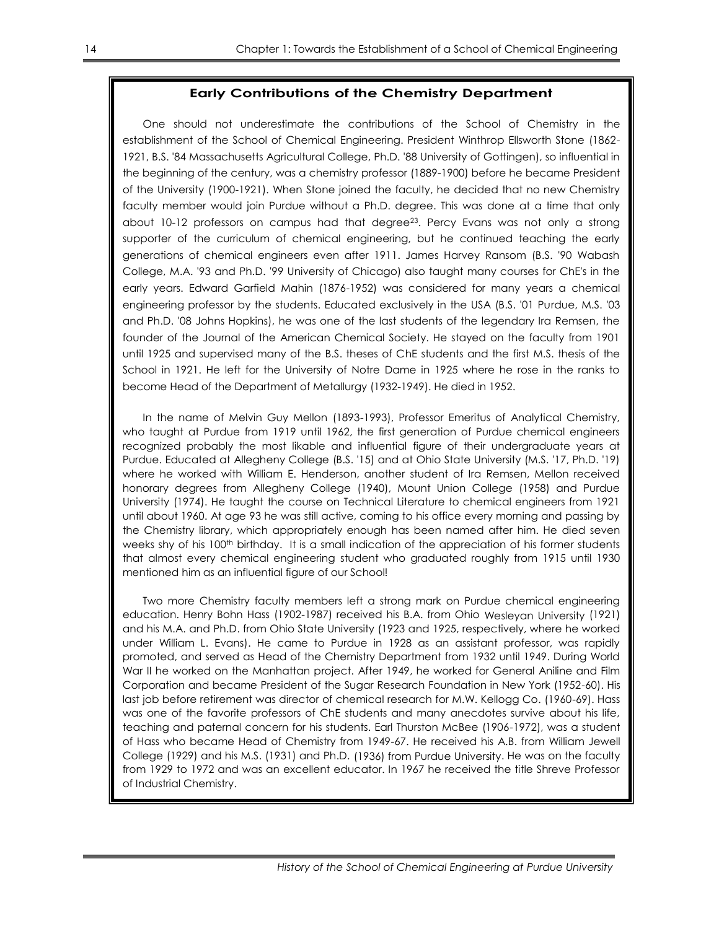#### **Early Contributions of the Chemistry Department**

One should not underestimate the contributions of the School of Chemistry in the establishment of the School of Chemical Engineering. President Winthrop Ellsworth Stone (1862- 1921, B.S. '84 Massachusetts Agricultural College, Ph.D. '88 University of Gottingen), so influential in the beginning of the century, was a chemistry professor (1889-1900) before he became President of the University (1900-1921). When Stone joined the faculty, he decided that no new Chemistry faculty member would join Purdue without a Ph.D. degree. This was done at a time that only about  $10-12$  professors on campus had that degree<sup>23</sup>. Percy Evans was not only a strong supporter of the curriculum of chemical engineering, but he continued teaching the early generations of chemical engineers even after 1911. James Harvey Ransom (B.S. '90 Wabash College, M.A. '93 and Ph.D. '99 University of Chicago) also taught many courses for ChE's in the early years. Edward Garfield Mahin (1876-1952) was considered for many years a chemical engineering professor by the students. Educated exclusively in the USA (B.S. '01 Purdue, M.S. '03 and Ph.D. '08 Johns Hopkins), he was one of the last students of the legendary Ira Remsen, the founder of the Journal of the American Chemical Society. He stayed on the faculty from 1901 until 1925 and supervised many of the B.S. theses of ChE students and the first M.S. thesis of the School in 1921. He left for the University of Notre Dame in 1925 where he rose in the ranks to become Head of the Department of Metallurgy (1932-1949). He died in 1952.

In the name of Melvin Guy Mellon (1893-1993), Professor Emeritus of Analytical Chemistry, who taught at Purdue from 1919 until 1962, the first generation of Purdue chemical engineers recognized probably the most likable and influential figure of their undergraduate years at Purdue. Educated at Allegheny College (B.S. '15) and at Ohio State University (M.S. '17, Ph.D. '19) where he worked with William E. Henderson, another student of Ira Remsen, Mellon received honorary degrees from Allegheny College (1940), Mount Union College (1958) and Purdue University (1974). He taught the course on Technical Literature to chemical engineers from 1921 until about 1960. At age 93 he was still active, coming to his office every morning and passing by the Chemistry library, which appropriately enough has been named after him. He died seven weeks shy of his 100<sup>th</sup> birthday. It is a small indication of the appreciation of his former students that almost every chemical engineering student who graduated roughly from 1915 until 1930 mentioned him as an influential figure of our School!

Two more Chemistry faculty members left a strong mark on Purdue chemical engineering education. Henry Bohn Hass (1902-1987) received his B.A. from Ohio Wesleyan University (1921) and his M.A. and Ph.D. from Ohio State University (1923 and 1925, respectively, where he worked under William L. Evans). He came to Purdue in 1928 as an assistant professor, was rapidly promoted, and served as Head of the Chemistry Department from 1932 until 1949. During World War II he worked on the Manhattan project. After 1949, he worked for General Aniline and Film Corporation and became President of the Sugar Research Foundation in New York (1952-60). His last job before retirement was director of chemical research for M.W. Kellogg Co. (1960-69). Hass was one of the favorite professors of ChE students and many anecdotes survive about his life, teaching and paternal concern for his students. Earl Thurston McBee (1906-1972), was a student of Hass who became Head of Chemistry from 1949-67. He received his A.B. from William Jewell College (1929) and his M.S. (1931) and Ph.D. (1936) from Purdue University. He was on the faculty from 1929 to 1972 and was an excellent educator. In 1967 he received the title Shreve Professor of Industrial Chemistry.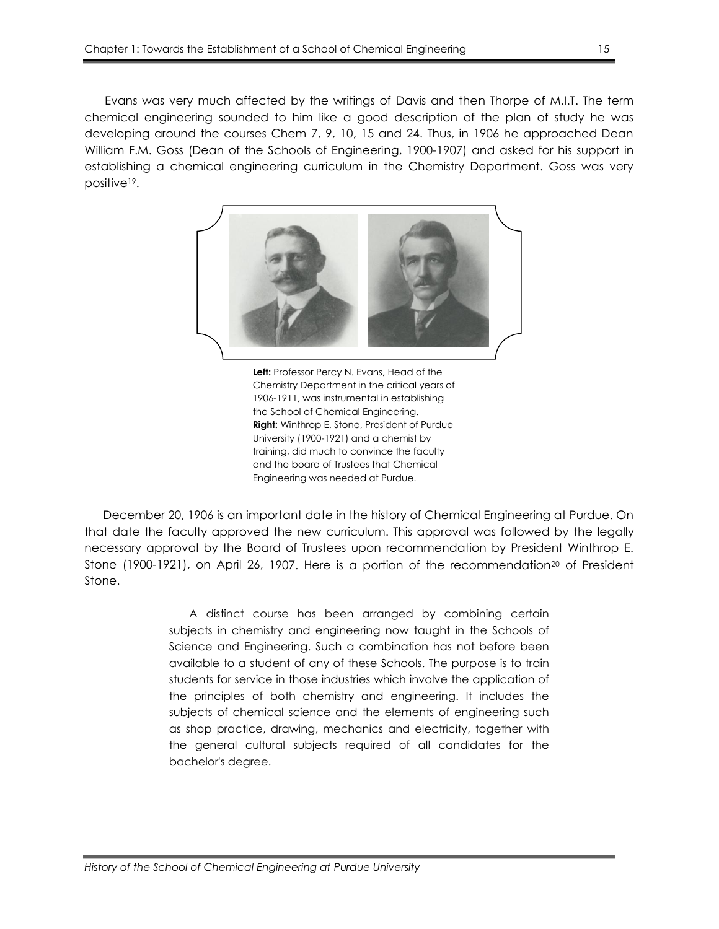Evans was very much affected by the writings of Davis and then Thorpe of M.I.T. The term chemical engineering sounded to him like a good description of the plan of study he was developing around the courses Chem 7, 9, 10, 15 and 24. Thus, in 1906 he approached Dean William F.M. Goss (Dean of the Schools of Engineering, 1900-1907) and asked for his support in establishing a chemical engineering curriculum in the Chemistry Department. Goss was very positive19.



**Left:** Professor Percy N. Evans, Head of the Chemistry Department in the critical years of 1906-1911, was instrumental in establishing the School of Chemical Engineering. **Right:** Winthrop E. Stone, President of Purdue University (1900-1921) and a chemist by training, did much to convince the faculty and the board of Trustees that Chemical Engineering was needed at Purdue.

December 20, 1906 is an important date in the history of Chemical Engineering at Purdue. On that date the faculty approved the new curriculum. This approval was followed by the legally necessary approval by the Board of Trustees upon recommendation by President Winthrop E. Stone (1900-1921), on April 26, 1907. Here is a portion of the recommendation<sup>20</sup> of President Stone.

> A distinct course has been arranged by combining certain subjects in chemistry and engineering now taught in the Schools of Science and Engineering. Such a combination has not before been available to a student of any of these Schools. The purpose is to train students for service in those industries which involve the application of the principles of both chemistry and engineering. It includes the subjects of chemical science and the elements of engineering such as shop practice, drawing, mechanics and electricity, together with the general cultural subjects required of all candidates for the bachelor's degree.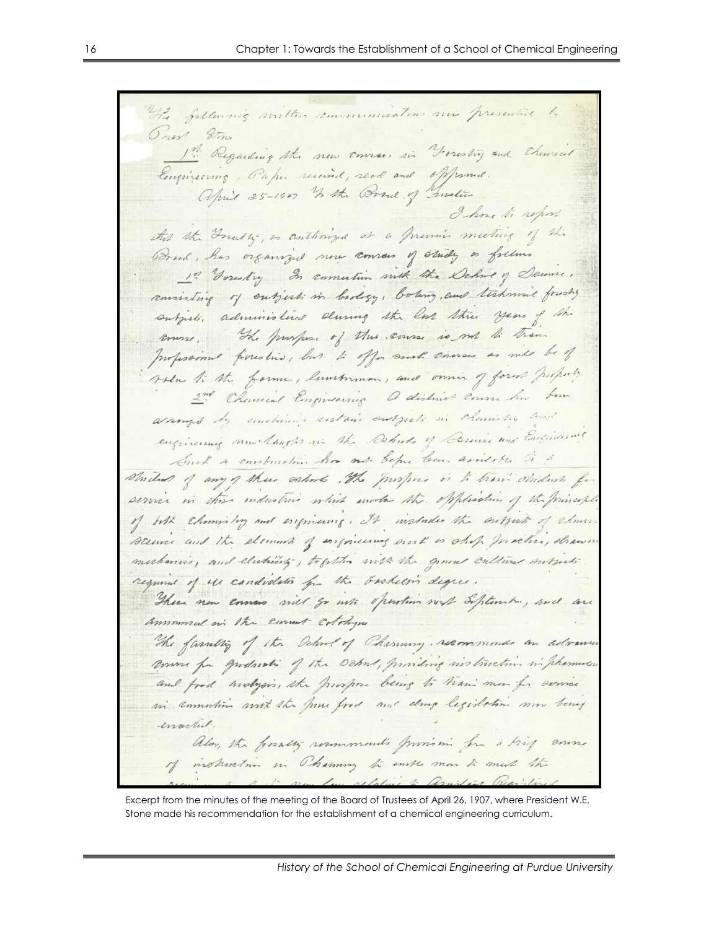The following written communications sine presented by Orest 8tons 1th Regarding the new convers in Forestry and Chemical Congineering, Paper received, read and opposind. april 25-1907 In the Brand of Gustin I hove to report this the Greatly, as conthorized of a previous meeting of the Brand, has organized new convous of study as follows 1? Youtry In connection with the Delivery Denne, consisting of subjects in beday, boling, and technic foreshy subject, administered during the lost three years of the course, The purpose of this course is not to trans professional forestio, but to offer much consume as med be of salue to the farmer, lumberman, and owner of forest property 2nd Chancel Engineering a distinct consume two tem assumed by emotions restain outsich in claming and engineering mu langter in the Debits of Commis and Engineering Such a combination has not been come avoidable to a student of any of these schools . The purpose is to train striducts for service in these industries which sundas the explosition of the principle of both chamistry and enquirement, It includes the entroits of chans scence and the elements of engineering ourt is ship practice, chann mechanics, and electricity, together with the general cultures subjects required of us condidation for the Gashelin degree. There new common will go with spention with September, and are ammmed in the comment colohyu The farming of the Dehalof Charming, recommends an advance come for gudnoti of the school, providing instruction in pharmers. and fred anotypis, the prospose being to trans men for some in amustion mix the process and drug legislation now benef enachel alos, the postly roomments provision for a brief course of instruction in Charmony to earth man to much the  $\mathcal{L}_{\mu\nu}$ relative to Assistant Vicenster

Excerpt from the minutes of the meeting of the Board of Trustees of April 26, 1907, where President W.E. Stone made his recommendation for the establishment of a chemical engineering curriculum.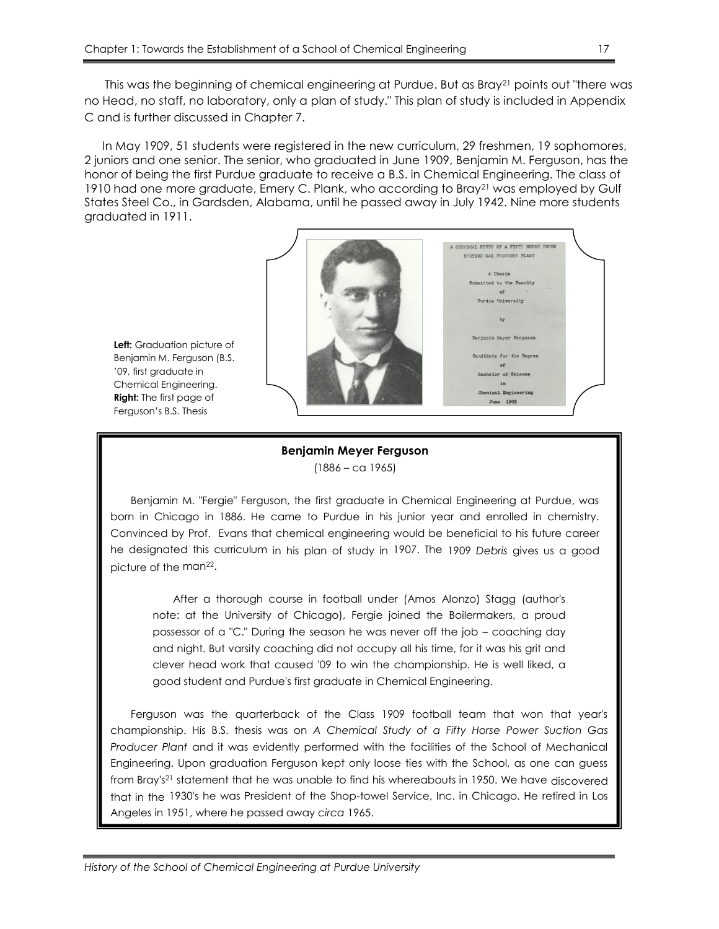This was the beginning of chemical engineering at Purdue. But as Bray<sup>21</sup> points out "there was no Head, no staff, no laboratory, only a plan of study." This plan of study is included in Appendix C and is further discussed in Chapter 7.

In May 1909, 51 students were registered in the new curriculum, 29 freshmen, 19 sophomores, 2 juniors and one senior. The senior, who graduated in June 1909, Benjamin M. Ferguson, has the honor of being the first Purdue graduate to receive a B.S. in Chemical Engineering. The class of 1910 had one more graduate, Emery C. Plank, who according to Bray<sup>21</sup> was employed by Gulf States Steel Co., in Gardsden, Alabama, until he passed away in July 1942. Nine more students graduated in 1911.



**Left:** Graduation picture of Benjamin M. Ferguson (B.S. '09, first graduate in Chemical Engineering. **Right:** The first page of Ferguson's B.S. Thesis

### **Benjamin Meyer Ferguson** (1886 – ca 1965)

Benjamin M. "Fergie" Ferguson, the first graduate in Chemical Engineering at Purdue, was born in Chicago in 1886. He came to Purdue in his junior year and enrolled in chemistry. Convinced by Prof. Evans that chemical engineering would be beneficial to his future career he designated this curriculum in his plan of study in 1907. The 1909 *Debris* gives us a good picture of the man<sup>22</sup>.

After a thorough course in football under (Amos Alonzo) Stagg (author's note: at the University of Chicago), Fergie joined the Boilermakers, a proud possessor of a "C." During the season he was never off the job – coaching day and night. But varsity coaching did not occupy all his time, for it was his grit and clever head work that caused '09 to win the championship. He is well liked, a good student and Purdue's first graduate in Chemical Engineering.

Ferguson was the quarterback of the Class 1909 football team that won that year's championship. His B.S. thesis was on *A Chemical Study of a Fifty Horse Power Suction Gas Producer Plant* and it was evidently performed with the facilities of the School of Mechanical Engineering. Upon graduation Ferguson kept only loose ties with the School, as one can guess from Bray's<sup>21</sup> statement that he was unable to find his whereabouts in 1950. We have discovered that in the 1930's he was President of the Shop-towel Service, Inc. in Chicago. He retired in Los Angeles in 1951, where he passed away *circa* 1965.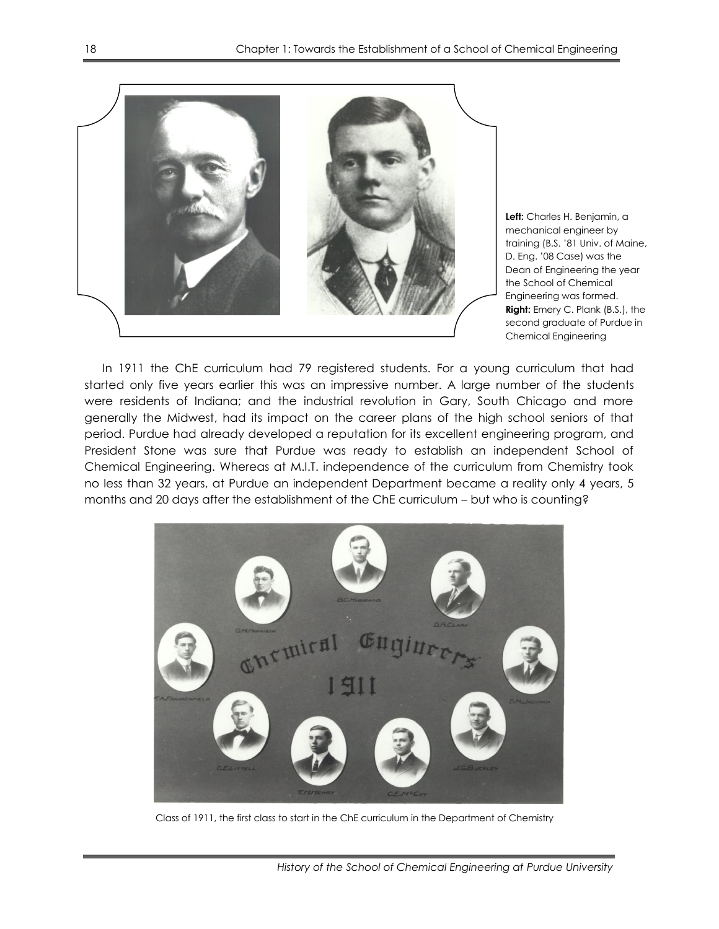

**Left:** Charles H. Benjamin, a mechanical engineer by training (B.S. '81 Univ. of Maine, D. Eng. '08 Case) was the Dean of Engineering the year the School of Chemical Engineering was formed. **Right:** Emery C. Plank (B.S.), the second graduate of Purdue in Chemical Engineering

In 1911 the ChE curriculum had 79 registered students. For a young curriculum that had started only five years earlier this was an impressive number. A large number of the students were residents of Indiana; and the industrial revolution in Gary, South Chicago and more generally the Midwest, had its impact on the career plans of the high school seniors of that period. Purdue had already developed a reputation for its excellent engineering program, and President Stone was sure that Purdue was ready to establish an independent School of Chemical Engineering. Whereas at M.I.T. independence of the curriculum from Chemistry took no less than 32 years, at Purdue an independent Department became a reality only 4 years, 5 months and 20 days after the establishment of the ChE curriculum – but who is counting?



Class of 1911, the first class to start in the ChE curriculum in the Department of Chemistry